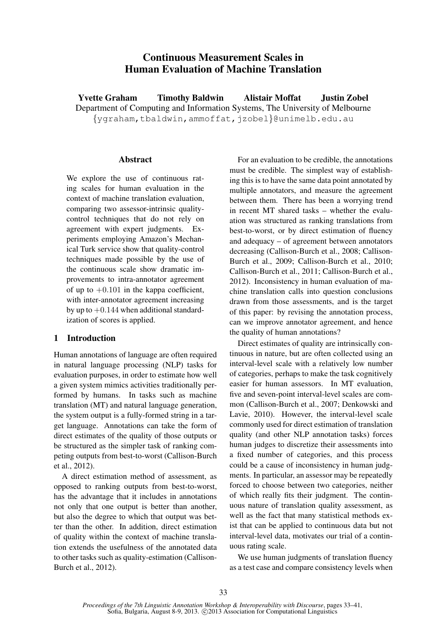# Continuous Measurement Scales in Human Evaluation of Machine Translation

Yvette Graham Timothy Baldwin Alistair Moffat Justin Zobel Department of Computing and Information Systems, The University of Melbourne {ygraham,tbaldwin,ammoffat,jzobel}@unimelb.edu.au

### Abstract

We explore the use of continuous rating scales for human evaluation in the context of machine translation evaluation, comparing two assessor-intrinsic qualitycontrol techniques that do not rely on agreement with expert judgments. Experiments employing Amazon's Mechanical Turk service show that quality-control techniques made possible by the use of the continuous scale show dramatic improvements to intra-annotator agreement of up to  $+0.101$  in the kappa coefficient, with inter-annotator agreement increasing by up to  $+0.144$  when additional standardization of scores is applied.

# 1 Introduction

Human annotations of language are often required in natural language processing (NLP) tasks for evaluation purposes, in order to estimate how well a given system mimics activities traditionally performed by humans. In tasks such as machine translation (MT) and natural language generation, the system output is a fully-formed string in a target language. Annotations can take the form of direct estimates of the quality of those outputs or be structured as the simpler task of ranking competing outputs from best-to-worst (Callison-Burch et al., 2012).

A direct estimation method of assessment, as opposed to ranking outputs from best-to-worst, has the advantage that it includes in annotations not only that one output is better than another, but also the degree to which that output was better than the other. In addition, direct estimation of quality within the context of machine translation extends the usefulness of the annotated data to other tasks such as quality-estimation (Callison-Burch et al., 2012).

For an evaluation to be credible, the annotations must be credible. The simplest way of establishing this is to have the same data point annotated by multiple annotators, and measure the agreement between them. There has been a worrying trend in recent MT shared tasks – whether the evaluation was structured as ranking translations from best-to-worst, or by direct estimation of fluency and adequacy – of agreement between annotators decreasing (Callison-Burch et al., 2008; Callison-Burch et al., 2009; Callison-Burch et al., 2010; Callison-Burch et al., 2011; Callison-Burch et al., 2012). Inconsistency in human evaluation of machine translation calls into question conclusions drawn from those assessments, and is the target of this paper: by revising the annotation process, can we improve annotator agreement, and hence the quality of human annotations?

Direct estimates of quality are intrinsically continuous in nature, but are often collected using an interval-level scale with a relatively low number of categories, perhaps to make the task cognitively easier for human assessors. In MT evaluation, five and seven-point interval-level scales are common (Callison-Burch et al., 2007; Denkowski and Lavie, 2010). However, the interval-level scale commonly used for direct estimation of translation quality (and other NLP annotation tasks) forces human judges to discretize their assessments into a fixed number of categories, and this process could be a cause of inconsistency in human judgments. In particular, an assessor may be repeatedly forced to choose between two categories, neither of which really fits their judgment. The continuous nature of translation quality assessment, as well as the fact that many statistical methods exist that can be applied to continuous data but not interval-level data, motivates our trial of a continuous rating scale.

We use human judgments of translation fluency as a test case and compare consistency levels when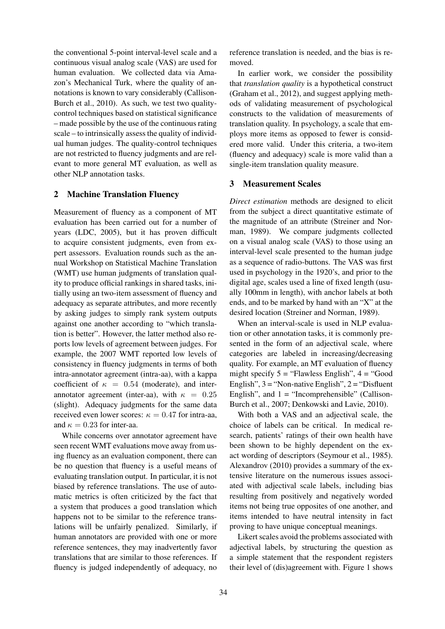the conventional 5-point interval-level scale and a continuous visual analog scale (VAS) are used for human evaluation. We collected data via Amazon's Mechanical Turk, where the quality of annotations is known to vary considerably (Callison-Burch et al., 2010). As such, we test two qualitycontrol techniques based on statistical significance – made possible by the use of the continuous rating scale – to intrinsically assess the quality of individual human judges. The quality-control techniques are not restricted to fluency judgments and are relevant to more general MT evaluation, as well as other NLP annotation tasks.

# 2 Machine Translation Fluency

Measurement of fluency as a component of MT evaluation has been carried out for a number of years (LDC, 2005), but it has proven difficult to acquire consistent judgments, even from expert assessors. Evaluation rounds such as the annual Workshop on Statistical Machine Translation (WMT) use human judgments of translation quality to produce official rankings in shared tasks, initially using an two-item assessment of fluency and adequacy as separate attributes, and more recently by asking judges to simply rank system outputs against one another according to "which translation is better". However, the latter method also reports low levels of agreement between judges. For example, the 2007 WMT reported low levels of consistency in fluency judgments in terms of both intra-annotator agreement (intra-aa), with a kappa coefficient of  $\kappa = 0.54$  (moderate), and interannotator agreement (inter-aa), with  $\kappa = 0.25$ (slight). Adequacy judgments for the same data received even lower scores:  $\kappa = 0.47$  for intra-aa, and  $\kappa = 0.23$  for inter-aa.

While concerns over annotator agreement have seen recent WMT evaluations move away from using fluency as an evaluation component, there can be no question that fluency is a useful means of evaluating translation output. In particular, it is not biased by reference translations. The use of automatic metrics is often criticized by the fact that a system that produces a good translation which happens not to be similar to the reference translations will be unfairly penalized. Similarly, if human annotators are provided with one or more reference sentences, they may inadvertently favor translations that are similar to those references. If fluency is judged independently of adequacy, no reference translation is needed, and the bias is removed.

In earlier work, we consider the possibility that *translation quality* is a hypothetical construct (Graham et al., 2012), and suggest applying methods of validating measurement of psychological constructs to the validation of measurements of translation quality. In psychology, a scale that employs more items as opposed to fewer is considered more valid. Under this criteria, a two-item (fluency and adequacy) scale is more valid than a single-item translation quality measure.

### 3 Measurement Scales

*Direct estimation* methods are designed to elicit from the subject a direct quantitative estimate of the magnitude of an attribute (Streiner and Norman, 1989). We compare judgments collected on a visual analog scale (VAS) to those using an interval-level scale presented to the human judge as a sequence of radio-buttons. The VAS was first used in psychology in the 1920's, and prior to the digital age, scales used a line of fixed length (usually 100mm in length), with anchor labels at both ends, and to be marked by hand with an "X" at the desired location (Streiner and Norman, 1989).

When an interval-scale is used in NLP evaluation or other annotation tasks, it is commonly presented in the form of an adjectival scale, where categories are labeled in increasing/decreasing quality. For example, an MT evaluation of fluency might specify  $5 =$  "Flawless English",  $4 =$  "Good English",  $3 =$  "Non-native English",  $2 =$  "Disfluent" English", and  $1 =$  "Incomprehensible" (Callison-Burch et al., 2007; Denkowski and Lavie, 2010).

With both a VAS and an adjectival scale, the choice of labels can be critical. In medical research, patients' ratings of their own health have been shown to be highly dependent on the exact wording of descriptors (Seymour et al., 1985). Alexandrov (2010) provides a summary of the extensive literature on the numerous issues associated with adjectival scale labels, including bias resulting from positively and negatively worded items not being true opposites of one another, and items intended to have neutral intensity in fact proving to have unique conceptual meanings.

Likert scales avoid the problems associated with adjectival labels, by structuring the question as a simple statement that the respondent registers their level of (dis)agreement with. Figure 1 shows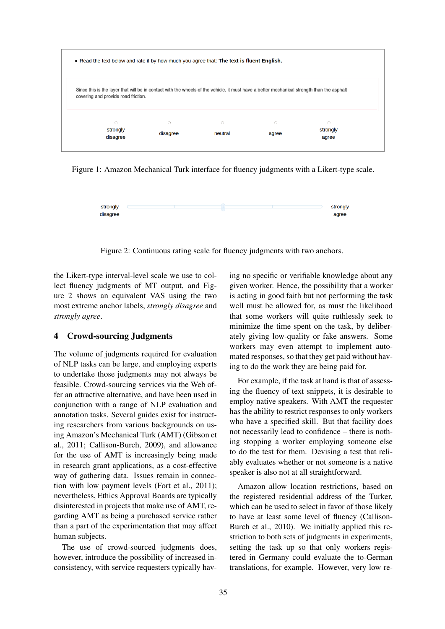

Figure 1: Amazon Mechanical Turk interface for fluency judgments with a Likert-type scale.



Figure 2: Continuous rating scale for fluency judgments with two anchors.

the Likert-type interval-level scale we use to collect fluency judgments of MT output, and Figure 2 shows an equivalent VAS using the two most extreme anchor labels, *strongly disagree* and *strongly agree*.

## 4 Crowd-sourcing Judgments

The volume of judgments required for evaluation of NLP tasks can be large, and employing experts to undertake those judgments may not always be feasible. Crowd-sourcing services via the Web offer an attractive alternative, and have been used in conjunction with a range of NLP evaluation and annotation tasks. Several guides exist for instructing researchers from various backgrounds on using Amazon's Mechanical Turk (AMT) (Gibson et al., 2011; Callison-Burch, 2009), and allowance for the use of AMT is increasingly being made in research grant applications, as a cost-effective way of gathering data. Issues remain in connection with low payment levels (Fort et al., 2011); nevertheless, Ethics Approval Boards are typically disinterested in projects that make use of AMT, regarding AMT as being a purchased service rather than a part of the experimentation that may affect human subjects.

The use of crowd-sourced judgments does, however, introduce the possibility of increased inconsistency, with service requesters typically having no specific or verifiable knowledge about any given worker. Hence, the possibility that a worker is acting in good faith but not performing the task well must be allowed for, as must the likelihood that some workers will quite ruthlessly seek to minimize the time spent on the task, by deliberately giving low-quality or fake answers. Some workers may even attempt to implement automated responses, so that they get paid without having to do the work they are being paid for.

For example, if the task at hand is that of assessing the fluency of text snippets, it is desirable to employ native speakers. With AMT the requester has the ability to restrict responses to only workers who have a specified skill. But that facility does not necessarily lead to confidence – there is nothing stopping a worker employing someone else to do the test for them. Devising a test that reliably evaluates whether or not someone is a native speaker is also not at all straightforward.

Amazon allow location restrictions, based on the registered residential address of the Turker, which can be used to select in favor of those likely to have at least some level of fluency (Callison-Burch et al., 2010). We initially applied this restriction to both sets of judgments in experiments, setting the task up so that only workers registered in Germany could evaluate the to-German translations, for example. However, very low re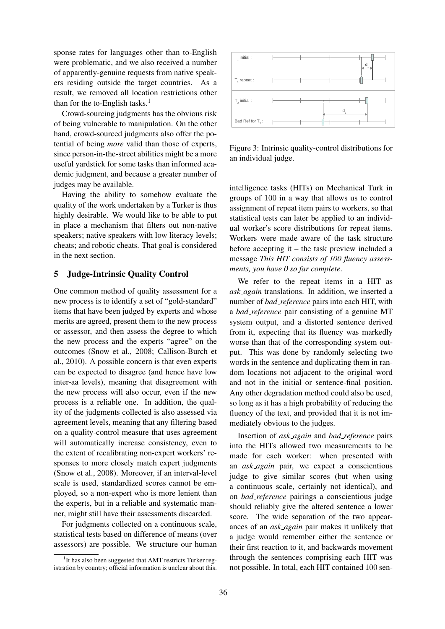sponse rates for languages other than to-English were problematic, and we also received a number of apparently-genuine requests from native speakers residing outside the target countries. As a result, we removed all location restrictions other than for the to-English tasks. $<sup>1</sup>$ </sup>

Crowd-sourcing judgments has the obvious risk of being vulnerable to manipulation. On the other hand, crowd-sourced judgments also offer the potential of being *more* valid than those of experts, since person-in-the-street abilities might be a more useful yardstick for some tasks than informed academic judgment, and because a greater number of judges may be available.

Having the ability to somehow evaluate the quality of the work undertaken by a Turker is thus highly desirable. We would like to be able to put in place a mechanism that filters out non-native speakers; native speakers with low literacy levels; cheats; and robotic cheats. That goal is considered in the next section.

# 5 Judge-Intrinsic Quality Control

One common method of quality assessment for a new process is to identify a set of "gold-standard" items that have been judged by experts and whose merits are agreed, present them to the new process or assessor, and then assess the degree to which the new process and the experts "agree" on the outcomes (Snow et al., 2008; Callison-Burch et al., 2010). A possible concern is that even experts can be expected to disagree (and hence have low inter-aa levels), meaning that disagreement with the new process will also occur, even if the new process is a reliable one. In addition, the quality of the judgments collected is also assessed via agreement levels, meaning that any filtering based on a quality-control measure that uses agreement will automatically increase consistency, even to the extent of recalibrating non-expert workers' responses to more closely match expert judgments (Snow et al., 2008). Moreover, if an interval-level scale is used, standardized scores cannot be employed, so a non-expert who is more lenient than the experts, but in a reliable and systematic manner, might still have their assessments discarded.

For judgments collected on a continuous scale, statistical tests based on difference of means (over assessors) are possible. We structure our human



Figure 3: Intrinsic quality-control distributions for an individual judge.

intelligence tasks (HITs) on Mechanical Turk in groups of 100 in a way that allows us to control assignment of repeat item pairs to workers, so that statistical tests can later be applied to an individual worker's score distributions for repeat items. Workers were made aware of the task structure before accepting it – the task preview included a message *This HIT consists of 100 fluency assessments, you have 0 so far complete*.

We refer to the repeat items in a HIT as *ask again* translations. In addition, we inserted a number of *bad reference* pairs into each HIT, with a *bad reference* pair consisting of a genuine MT system output, and a distorted sentence derived from it, expecting that its fluency was markedly worse than that of the corresponding system output. This was done by randomly selecting two words in the sentence and duplicating them in random locations not adjacent to the original word and not in the initial or sentence-final position. Any other degradation method could also be used, so long as it has a high probability of reducing the fluency of the text, and provided that it is not immediately obvious to the judges.

Insertion of *ask again* and *bad reference* pairs into the HITs allowed two measurements to be made for each worker: when presented with an *ask again* pair, we expect a conscientious judge to give similar scores (but when using a continuous scale, certainly not identical), and on *bad reference* pairings a conscientious judge should reliably give the altered sentence a lower score. The wide separation of the two appearances of an *ask again* pair makes it unlikely that a judge would remember either the sentence or their first reaction to it, and backwards movement through the sentences comprising each HIT was not possible. In total, each HIT contained 100 sen-

<sup>&</sup>lt;sup>1</sup>It has also been suggested that AMT restricts Turker registration by country; official information is unclear about this.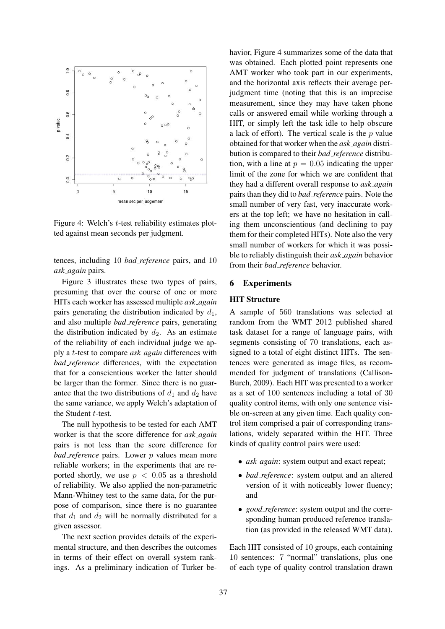

Figure 4: Welch's t-test reliability estimates plotted against mean seconds per judgment.

tences, including 10 *bad reference* pairs, and 10 *ask again* pairs.

Figure 3 illustrates these two types of pairs, presuming that over the course of one or more HITs each worker has assessed multiple *ask again* pairs generating the distribution indicated by  $d_1$ , and also multiple *bad reference* pairs, generating the distribution indicated by  $d_2$ . As an estimate of the reliability of each individual judge we apply a t-test to compare *ask again* differences with *bad reference* differences, with the expectation that for a conscientious worker the latter should be larger than the former. Since there is no guarantee that the two distributions of  $d_1$  and  $d_2$  have the same variance, we apply Welch's adaptation of the Student t-test.

The null hypothesis to be tested for each AMT worker is that the score difference for *ask again* pairs is not less than the score difference for *bad\_reference* pairs. Lower *p* values mean more reliable workers; in the experiments that are reported shortly, we use  $p < 0.05$  as a threshold of reliability. We also applied the non-parametric Mann-Whitney test to the same data, for the purpose of comparison, since there is no guarantee that  $d_1$  and  $d_2$  will be normally distributed for a given assessor.

The next section provides details of the experimental structure, and then describes the outcomes in terms of their effect on overall system rankings. As a preliminary indication of Turker be-

havior, Figure 4 summarizes some of the data that was obtained. Each plotted point represents one AMT worker who took part in our experiments, and the horizontal axis reflects their average perjudgment time (noting that this is an imprecise measurement, since they may have taken phone calls or answered email while working through a HIT, or simply left the task idle to help obscure a lack of effort). The vertical scale is the  $p$  value obtained for that worker when the *ask again* distribution is compared to their *bad reference* distribution, with a line at  $p = 0.05$  indicating the upper limit of the zone for which we are confident that they had a different overall response to *ask again* pairs than they did to *bad reference* pairs. Note the small number of very fast, very inaccurate workers at the top left; we have no hesitation in calling them unconscientious (and declining to pay them for their completed HITs). Note also the very small number of workers for which it was possible to reliably distinguish their *ask again* behavior from their *bad reference* behavior.

## 6 Experiments

#### HIT Structure

A sample of 560 translations was selected at random from the WMT 2012 published shared task dataset for a range of language pairs, with segments consisting of 70 translations, each assigned to a total of eight distinct HITs. The sentences were generated as image files, as recommended for judgment of translations (Callison-Burch, 2009). Each HIT was presented to a worker as a set of 100 sentences including a total of 30 quality control items, with only one sentence visible on-screen at any given time. Each quality control item comprised a pair of corresponding translations, widely separated within the HIT. Three kinds of quality control pairs were used:

- *ask again*: system output and exact repeat;
- *bad reference*: system output and an altered version of it with noticeably lower fluency; and
- *good reference*: system output and the corresponding human produced reference translation (as provided in the released WMT data).

Each HIT consisted of 10 groups, each containing 10 sentences: 7 "normal" translations, plus one of each type of quality control translation drawn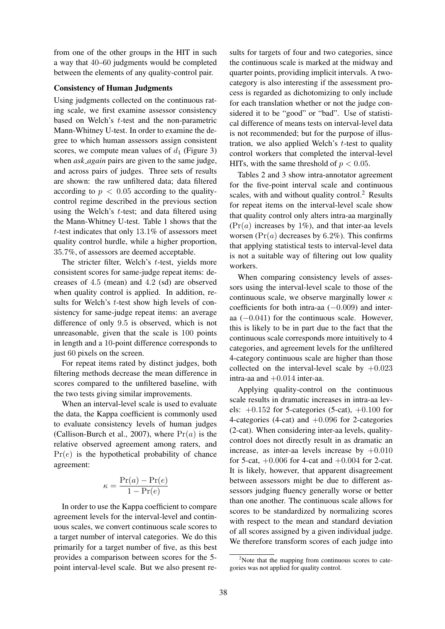from one of the other groups in the HIT in such a way that 40–60 judgments would be completed between the elements of any quality-control pair.

### Consistency of Human Judgments

Using judgments collected on the continuous rating scale, we first examine assessor consistency based on Welch's t-test and the non-parametric Mann-Whitney U-test. In order to examine the degree to which human assessors assign consistent scores, we compute mean values of  $d_1$  (Figure 3) when *ask again* pairs are given to the same judge, and across pairs of judges. Three sets of results are shown: the raw unfiltered data; data filtered according to  $p < 0.05$  according to the qualitycontrol regime described in the previous section using the Welch's t-test; and data filtered using the Mann-Whitney U-test. Table 1 shows that the t-test indicates that only 13.1% of assessors meet quality control hurdle, while a higher proportion, 35.7%, of assessors are deemed acceptable.

The stricter filter, Welch's t-test, yields more consistent scores for same-judge repeat items: decreases of 4.5 (mean) and 4.2 (sd) are observed when quality control is applied. In addition, results for Welch's t-test show high levels of consistency for same-judge repeat items: an average difference of only 9.5 is observed, which is not unreasonable, given that the scale is 100 points in length and a 10-point difference corresponds to just 60 pixels on the screen.

For repeat items rated by distinct judges, both filtering methods decrease the mean difference in scores compared to the unfiltered baseline, with the two tests giving similar improvements.

When an interval-level scale is used to evaluate the data, the Kappa coefficient is commonly used to evaluate consistency levels of human judges (Callison-Burch et al., 2007), where  $Pr(a)$  is the relative observed agreement among raters, and  $Pr(e)$  is the hypothetical probability of chance agreement:

$$
\kappa = \frac{\Pr(a) - \Pr(e)}{1 - \Pr(e)}
$$

In order to use the Kappa coefficient to compare agreement levels for the interval-level and continuous scales, we convert continuous scale scores to a target number of interval categories. We do this primarily for a target number of five, as this best provides a comparison between scores for the 5 point interval-level scale. But we also present results for targets of four and two categories, since the continuous scale is marked at the midway and quarter points, providing implicit intervals. A twocategory is also interesting if the assessment process is regarded as dichotomizing to only include for each translation whether or not the judge considered it to be "good" or "bad". Use of statistical difference of means tests on interval-level data is not recommended; but for the purpose of illustration, we also applied Welch's  $t$ -test to quality control workers that completed the interval-level HITs, with the same threshold of  $p < 0.05$ .

Tables 2 and 3 show intra-annotator agreement for the five-point interval scale and continuous scales, with and without quality control. $<sup>2</sup>$  Results</sup> for repeat items on the interval-level scale show that quality control only alters intra-aa marginally  $(\Pr(a)$  increases by 1%), and that inter-aa levels worsen  $(\Pr(a)$  decreases by 6.2%). This confirms that applying statistical tests to interval-level data is not a suitable way of filtering out low quality workers.

When comparing consistency levels of assessors using the interval-level scale to those of the continuous scale, we observe marginally lower  $\kappa$ coefficients for both intra-aa (−0.009) and interaa (−0.041) for the continuous scale. However, this is likely to be in part due to the fact that the continuous scale corresponds more intuitively to 4 categories, and agreement levels for the unfiltered 4-category continuous scale are higher than those collected on the interval-level scale by  $+0.023$ intra-aa and  $+0.014$  inter-aa.

Applying quality-control on the continuous scale results in dramatic increases in intra-aa levels:  $+0.152$  for 5-categories (5-cat),  $+0.100$  for 4-categories (4-cat) and  $+0.096$  for 2-categories (2-cat). When considering inter-aa levels, qualitycontrol does not directly result in as dramatic an increase, as inter-aa levels increase by  $+0.010$ for 5-cat,  $+0.006$  for 4-cat and  $+0.004$  for 2-cat. It is likely, however, that apparent disagreement between assessors might be due to different assessors judging fluency generally worse or better than one another. The continuous scale allows for scores to be standardized by normalizing scores with respect to the mean and standard deviation of all scores assigned by a given individual judge. We therefore transform scores of each judge into

 $2^2$ Note that the mapping from continuous scores to categories was not applied for quality control.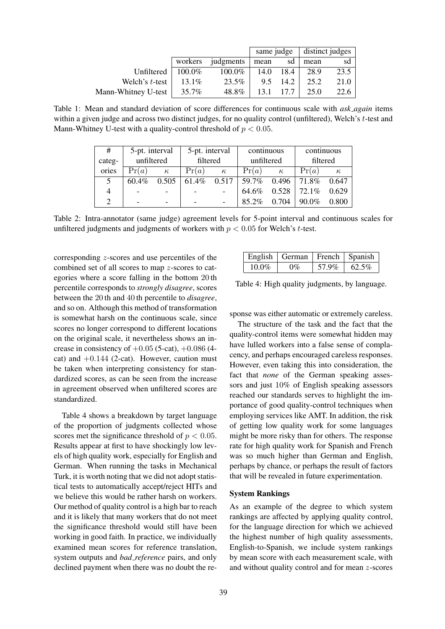|                     |           |           | same judge |      | distinct judges |      |  |
|---------------------|-----------|-----------|------------|------|-----------------|------|--|
|                     | workers   | judgments | sd<br>mean |      | mean            | sd   |  |
| Unfiltered          | $100.0\%$ | 100.0%    | 14.0       | 18.4 | 28.9            | 23.5 |  |
| Welch's t-test      | $13.1\%$  | 23.5%     | 9.5        | 14.2 | 25.2            | 21.0 |  |
| Mann-Whitney U-test | 35.7%     | 48.8%     | 13.1       | 17.7 | 25.0            | 22.6 |  |

Table 1: Mean and standard deviation of score differences for continuous scale with *ask again* items within a given judge and across two distinct judges, for no quality control (unfiltered), Welch's t-test and Mann-Whitney U-test with a quality-control threshold of  $p < 0.05$ .

| #             | 5-pt. interval |          | 5-pt. interval |          | continuous |          | continuous |          |
|---------------|----------------|----------|----------------|----------|------------|----------|------------|----------|
| categ-        | unfiltered     |          | filtered       |          | unfiltered |          | filtered   |          |
| ories         | Pr(a)          | $\kappa$ | Pr(a)          | $\kappa$ | Pr(a)      | $\kappa$ | Pr(a)      | $\kappa$ |
| 5             | 60.4%          | 0.505    | 61.4%          | 0.517    | 59.7%      | 0.496    | 71.8%      | 0.647    |
| 4             |                |          |                |          | 64.6%      | 0.528    | 72.1%      | 0.629    |
| $\mathcal{D}$ |                | -        |                |          | 85.2%      | 0.704    | 90.0%      | 0.800    |

Table 2: Intra-annotator (same judge) agreement levels for 5-point interval and continuous scales for unfiltered judgments and judgments of workers with  $p < 0.05$  for Welch's t-test.

corresponding z-scores and use percentiles of the combined set of all scores to map z-scores to categories where a score falling in the bottom 20 th percentile corresponds to *strongly disagree*, scores between the 20 th and 40 th percentile to *disagree*, and so on. Although this method of transformation is somewhat harsh on the continuous scale, since scores no longer correspond to different locations on the original scale, it nevertheless shows an increase in consistency of  $+0.05$  (5-cat),  $+0.086$  (4cat) and  $+0.144$  (2-cat). However, caution must be taken when interpreting consistency for standardized scores, as can be seen from the increase in agreement observed when unfiltered scores are standardized.

Table 4 shows a breakdown by target language of the proportion of judgments collected whose scores met the significance threshold of  $p < 0.05$ . Results appear at first to have shockingly low levels of high quality work, especially for English and German. When running the tasks in Mechanical Turk, it is worth noting that we did not adopt statistical tests to automatically accept/reject HITs and we believe this would be rather harsh on workers. Our method of quality control is a high bar to reach and it is likely that many workers that do not meet the significance threshold would still have been working in good faith. In practice, we individually examined mean scores for reference translation, system outputs and *bad reference* pairs, and only declined payment when there was no doubt the re-

|          | English   German   French   Spanish |       |       |
|----------|-------------------------------------|-------|-------|
| $10.0\%$ | $0\%$                               | 57.9% | 62.5% |

Table 4: High quality judgments, by language.

sponse was either automatic or extremely careless.

The structure of the task and the fact that the quality-control items were somewhat hidden may have lulled workers into a false sense of complacency, and perhaps encouraged careless responses. However, even taking this into consideration, the fact that *none* of the German speaking assessors and just 10% of English speaking assessors reached our standards serves to highlight the importance of good quality-control techniques when employing services like AMT. In addition, the risk of getting low quality work for some languages might be more risky than for others. The response rate for high quality work for Spanish and French was so much higher than German and English, perhaps by chance, or perhaps the result of factors that will be revealed in future experimentation.

#### System Rankings

As an example of the degree to which system rankings are affected by applying quality control, for the language direction for which we achieved the highest number of high quality assessments, English-to-Spanish, we include system rankings by mean score with each measurement scale, with and without quality control and for mean z-scores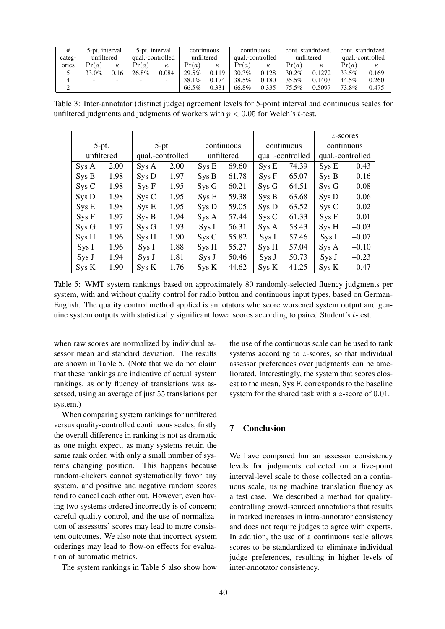| #      | 5-pt. interval                 |          | 5-pt. interval |          | continuous       |       | continuous |       | cont. standrdzed. |          | cont. standrdzed. |          |
|--------|--------------------------------|----------|----------------|----------|------------------|-------|------------|-------|-------------------|----------|-------------------|----------|
| categ- | qual.-controlled<br>unfiltered |          | unfiltered     |          | qual.-controlled |       | unfiltered |       | qual.-controlled  |          |                   |          |
| ories  | Pr(a)                          | $\kappa$ | Pr(a)          | $\kappa$ | Pr(a)            | к.    | Pr(a)      | к     | Pr(a)             | $\kappa$ | Pr(a)             | $\kappa$ |
|        | 33.0%                          | 0.16     | 26.8%          | 0.084    | 29.5%            | 0.119 | 30.3%      | 0.128 | $30.2\%$          | 0.1272   | 33.5%             | 0.169    |
|        |                                |          |                |          | 38.1%            | 0.174 | 38.5%      | 0.180 | 35.5%             | 0.1403   | 44.5%             | 0.260    |
|        |                                |          |                |          | 66.5%            | 0.331 | 66.8%      | 0.335 | 75.5%             | 0.5097   | 73.8%             | 0.475    |

Table 3: Inter-annotator (distinct judge) agreement levels for 5-point interval and continuous scales for unfiltered judgments and judgments of workers with  $p < 0.05$  for Welch's t-test.

|                                |      |         |            |            |       |                   |                  | $z$ -scores       |         |
|--------------------------------|------|---------|------------|------------|-------|-------------------|------------------|-------------------|---------|
| $5-pt.$                        |      | $5-pt.$ |            | continuous |       | continuous        |                  | continuous        |         |
| unfiltered<br>qual.-controlled |      |         | unfiltered |            |       | qual.-controlled  | qual.-controlled |                   |         |
| Sys A                          | 2.00 | SysA    | 2.00       | Sys E      | 69.60 | Sys E             | 74.39            | Sys E             | 0.43    |
| Sys B                          | 1.98 | Sys D   | 1.97       | Sys B      | 61.78 | Sys F             | 65.07            | Sys B             | 0.16    |
| SysC                           | 1.98 | Sys F   | 1.95       | Sys G      | 60.21 | Sys G             | 64.51            | Sys G             | 0.08    |
| Sys D                          | 1.98 | SysC    | 1.95       | SysF       | 59.38 | Sys B             | 63.68            | Sys D             | 0.06    |
| Sys E                          | 1.98 | Sys E   | 1.95       | Sys D      | 59.05 | Sys D             | 63.52            | SysC              | 0.02    |
| Sys F                          | 1.97 | Sys B   | 1.94       | Sys A      | 57.44 | S <sub>ys</sub> C | 61.33            | S <sub>ys</sub> F | 0.01    |
| Sys G                          | 1.97 | Sys G   | 1.93       | SysI       | 56.31 | Sys A             | 58.43            | Sys H             | $-0.03$ |
| Sys H                          | 1.96 | Sys H   | 1.90       | SysC       | 55.82 | SysI              | 57.46            | Sys I             | $-0.07$ |
| SysI                           | 1.96 | Sys I   | 1.88       | Sys H      | 55.27 | Sys H             | 57.04            | Sys A             | $-0.10$ |
| Sys J                          | 1.94 | Sys J   | 1.81       | Sys J      | 50.46 | Sys J             | 50.73            | Sys J             | $-0.23$ |
| Sys K                          | 1.90 | Sys K   | 1.76       | Sys K      | 44.62 | Sys K             | 41.25            | Sys K             | $-0.47$ |

Table 5: WMT system rankings based on approximately 80 randomly-selected fluency judgments per system, with and without quality control for radio button and continuous input types, based on German-English. The quality control method applied is annotators who score worsened system output and genuine system outputs with statistically significant lower scores according to paired Student's t-test.

when raw scores are normalized by individual assessor mean and standard deviation. The results are shown in Table 5. (Note that we do not claim that these rankings are indicative of actual system rankings, as only fluency of translations was assessed, using an average of just 55 translations per system.)

When comparing system rankings for unfiltered versus quality-controlled continuous scales, firstly the overall difference in ranking is not as dramatic as one might expect, as many systems retain the same rank order, with only a small number of systems changing position. This happens because random-clickers cannot systematically favor any system, and positive and negative random scores tend to cancel each other out. However, even having two systems ordered incorrectly is of concern; careful quality control, and the use of normalization of assessors' scores may lead to more consistent outcomes. We also note that incorrect system orderings may lead to flow-on effects for evaluation of automatic metrics.

The system rankings in Table 5 also show how

the use of the continuous scale can be used to rank systems according to z-scores, so that individual assessor preferences over judgments can be ameliorated. Interestingly, the system that scores closest to the mean, Sys F, corresponds to the baseline system for the shared task with a z-score of 0.01.

# 7 Conclusion

We have compared human assessor consistency levels for judgments collected on a five-point interval-level scale to those collected on a continuous scale, using machine translation fluency as a test case. We described a method for qualitycontrolling crowd-sourced annotations that results in marked increases in intra-annotator consistency and does not require judges to agree with experts. In addition, the use of a continuous scale allows scores to be standardized to eliminate individual judge preferences, resulting in higher levels of inter-annotator consistency.